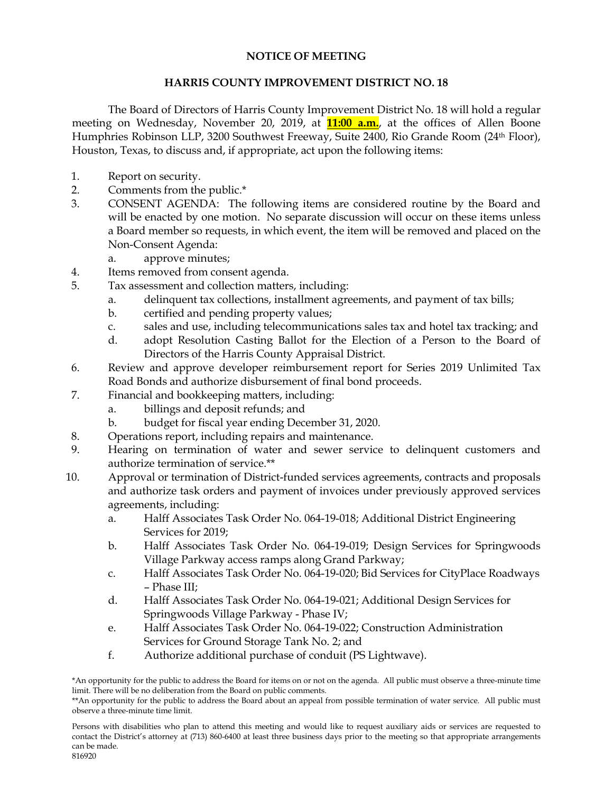## **NOTICE OF MEETING**

## **HARRIS COUNTY IMPROVEMENT DISTRICT NO. 18**

The Board of Directors of Harris County Improvement District No. 18 will hold a regular meeting on Wednesday, November 20, 2019, at **11:00 a.m.**, at the offices of Allen Boone Humphries Robinson LLP, 3200 Southwest Freeway, Suite 2400, Rio Grande Room (24th Floor), Houston, Texas, to discuss and, if appropriate, act upon the following items:

- 1. Report on security.
- 2. Comments from the public.\*
- 3. CONSENT AGENDA: The following items are considered routine by the Board and will be enacted by one motion. No separate discussion will occur on these items unless a Board member so requests, in which event, the item will be removed and placed on the Non-Consent Agenda:
	- a. approve minutes;
- 4. Items removed from consent agenda.
- 5. Tax assessment and collection matters, including:
	- a. delinquent tax collections, installment agreements, and payment of tax bills;
	- b. certified and pending property values;
	- c. sales and use, including telecommunications sales tax and hotel tax tracking; and
	- d. adopt Resolution Casting Ballot for the Election of a Person to the Board of Directors of the Harris County Appraisal District.
- 6. Review and approve developer reimbursement report for Series 2019 Unlimited Tax Road Bonds and authorize disbursement of final bond proceeds.
- 7. Financial and bookkeeping matters, including:
	- a. billings and deposit refunds; and
	- b. budget for fiscal year ending December 31, 2020.
- 8. Operations report, including repairs and maintenance.
- 9. Hearing on termination of water and sewer service to delinquent customers and authorize termination of service.\*\*
- 10. Approval or termination of District-funded services agreements, contracts and proposals and authorize task orders and payment of invoices under previously approved services agreements, including:
	- a. Halff Associates Task Order No. 064-19-018; Additional District Engineering Services for 2019;
	- b. Halff Associates Task Order No. 064-19-019; Design Services for Springwoods Village Parkway access ramps along Grand Parkway;
	- c. Halff Associates Task Order No. 064-19-020; Bid Services for CityPlace Roadways – Phase III;
	- d. Halff Associates Task Order No. 064-19-021; Additional Design Services for Springwoods Village Parkway - Phase IV;
	- e. Halff Associates Task Order No. 064-19-022; Construction Administration Services for Ground Storage Tank No. 2; and
	- f. Authorize additional purchase of conduit (PS Lightwave).

<sup>\*</sup>An opportunity for the public to address the Board for items on or not on the agenda. All public must observe a three-minute time limit. There will be no deliberation from the Board on public comments.

<sup>\*\*</sup>An opportunity for the public to address the Board about an appeal from possible termination of water service. All public must observe a three-minute time limit.

Persons with disabilities who plan to attend this meeting and would like to request auxiliary aids or services are requested to contact the District's attorney at (713) 860-6400 at least three business days prior to the meeting so that appropriate arrangements can be made. 816920